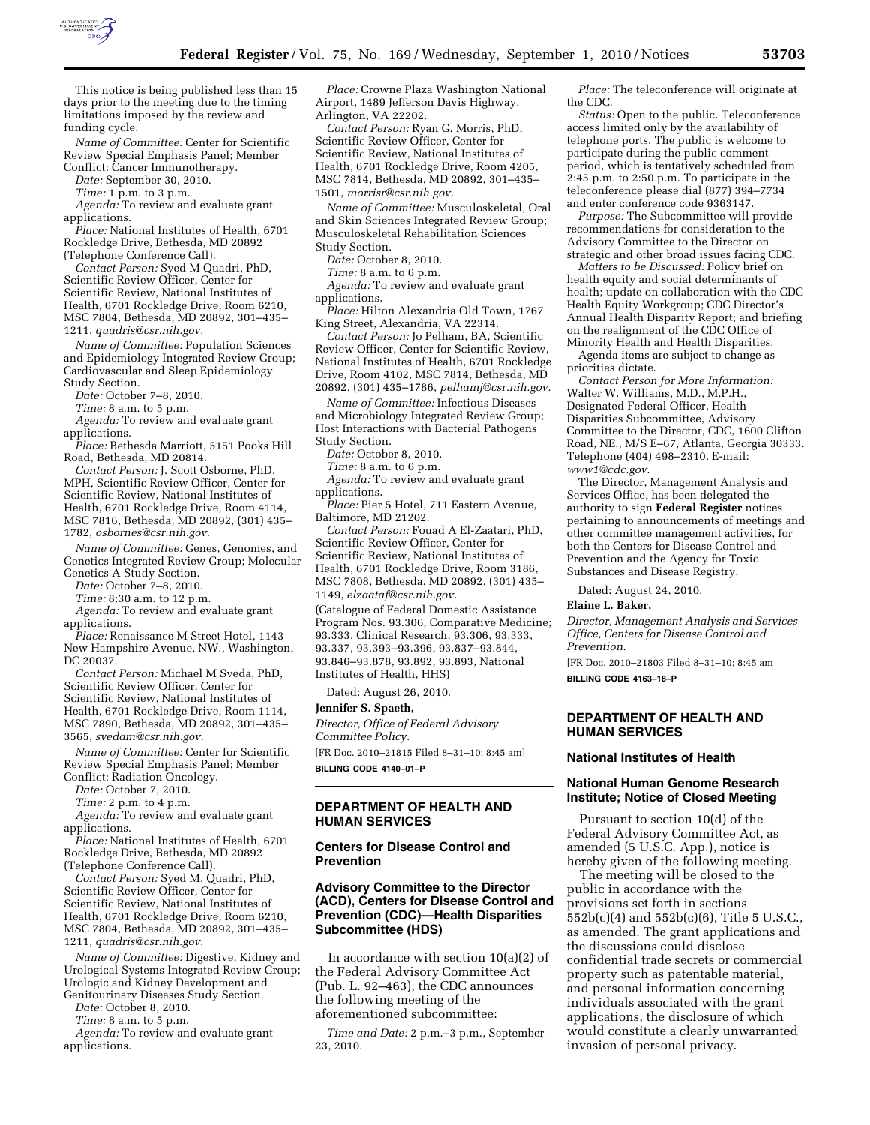

This notice is being published less than 15 days prior to the meeting due to the timing limitations imposed by the review and funding cycle.

*Name of Committee:* Center for Scientific Review Special Emphasis Panel; Member Conflict: Cancer Immunotherapy.

*Date:* September 30, 2010.

*Time:* 1 p.m. to 3 p.m.

*Agenda:* To review and evaluate grant applications.

*Place:* National Institutes of Health, 6701 Rockledge Drive, Bethesda, MD 20892 (Telephone Conference Call).

*Contact Person:* Syed M Quadri, PhD, Scientific Review Officer, Center for Scientific Review, National Institutes of Health, 6701 Rockledge Drive, Room 6210, MSC 7804, Bethesda, MD 20892, 301–435– 1211, *[quadris@csr.nih.gov.](mailto:quadris@csr.nih.gov)* 

*Name of Committee:* Population Sciences and Epidemiology Integrated Review Group; Cardiovascular and Sleep Epidemiology Study Section.

*Date:* October 7–8, 2010.

*Time:* 8 a.m. to 5 p.m.

*Agenda:* To review and evaluate grant applications.

*Place:* Bethesda Marriott, 5151 Pooks Hill Road, Bethesda, MD 20814.

*Contact Person:* J. Scott Osborne, PhD, MPH, Scientific Review Officer, Center for Scientific Review, National Institutes of Health, 6701 Rockledge Drive, Room 4114, MSC 7816, Bethesda, MD 20892, (301) 435– 1782, *[osbornes@csr.nih.gov.](mailto:osbornes@csr.nih.gov)* 

*Name of Committee:* Genes, Genomes, and Genetics Integrated Review Group; Molecular Genetics A Study Section.

*Date:* October 7–8, 2010.

*Time:* 8:30 a.m. to 12 p.m.

*Agenda:* To review and evaluate grant applications.

*Place:* Renaissance M Street Hotel, 1143 New Hampshire Avenue, NW., Washington, DC 20037.

*Contact Person:* Michael M Sveda, PhD, Scientific Review Officer, Center for Scientific Review, National Institutes of Health, 6701 Rockledge Drive, Room 1114, MSC 7890, Bethesda, MD 20892, 301–435– 3565, *[svedam@csr.nih.gov.](mailto:svedam@csr.nih.gov)* 

*Name of Committee:* Center for Scientific Review Special Emphasis Panel; Member Conflict: Radiation Oncology.

*Date:* October 7, 2010.

*Time:* 2 p.m. to 4 p.m.

*Agenda:* To review and evaluate grant applications.

*Place:* National Institutes of Health, 6701 Rockledge Drive, Bethesda, MD 20892 (Telephone Conference Call).

*Contact Person:* Syed M. Quadri, PhD, Scientific Review Officer, Center for Scientific Review, National Institutes of Health, 6701 Rockledge Drive, Room 6210, MSC 7804, Bethesda, MD 20892, 301–435– 1211, *[quadris@csr.nih.gov.](mailto:quadris@csr.nih.gov)* 

*Name of Committee:* Digestive, Kidney and Urological Systems Integrated Review Group; Urologic and Kidney Development and Genitourinary Diseases Study Section.

*Date:* October 8, 2010.

*Time:* 8 a.m. to 5 p.m.

*Agenda:* To review and evaluate grant applications.

*Place:* Crowne Plaza Washington National Airport, 1489 Jefferson Davis Highway, Arlington, VA 22202.

*Contact Person:* Ryan G. Morris, PhD, Scientific Review Officer, Center for Scientific Review, National Institutes of Health, 6701 Rockledge Drive, Room 4205, MSC 7814, Bethesda, MD 20892, 301–435– 1501, *[morrisr@csr.nih.gov.](mailto:morrisr@csr.nih.gov)* 

*Name of Committee:* Musculoskeletal, Oral and Skin Sciences Integrated Review Group; Musculoskeletal Rehabilitation Sciences Study Section.

*Date:* October 8, 2010.

*Time:* 8 a.m. to 6 p.m.

*Agenda:* To review and evaluate grant applications.

*Place:* Hilton Alexandria Old Town, 1767 King Street, Alexandria, VA 22314.

*Contact Person:* Jo Pelham, BA, Scientific Review Officer, Center for Scientific Review, National Institutes of Health, 6701 Rockledge Drive, Room 4102, MSC 7814, Bethesda, MD 20892, (301) 435–1786, *[pelhamj@csr.nih.gov.](mailto:pelhamj@csr.nih.gov)* 

*Name of Committee:* Infectious Diseases and Microbiology Integrated Review Group; Host Interactions with Bacterial Pathogens Study Section.

*Date:* October 8, 2010.

*Time:* 8 a.m. to 6 p.m. *Agenda:* To review and evaluate grant applications.

*Place:* Pier 5 Hotel, 711 Eastern Avenue, Baltimore, MD 21202.

*Contact Person:* Fouad A El-Zaatari, PhD, Scientific Review Officer, Center for Scientific Review, National Institutes of Health, 6701 Rockledge Drive, Room 3186, MSC 7808, Bethesda, MD 20892, (301) 435– 1149, *[elzaataf@csr.nih.gov.](mailto:elzaataf@csr.nih.gov)* 

(Catalogue of Federal Domestic Assistance Program Nos. 93.306, Comparative Medicine; 93.333, Clinical Research, 93.306, 93.333, 93.337, 93.393–93.396, 93.837–93.844, 93.846–93.878, 93.892, 93.893, National Institutes of Health, HHS)

Dated: August 26, 2010.

#### **Jennifer S. Spaeth,**

*Director, Office of Federal Advisory Committee Policy.* 

[FR Doc. 2010–21815 Filed 8–31–10; 8:45 am] **BILLING CODE 4140–01–P** 

# **DEPARTMENT OF HEALTH AND HUMAN SERVICES**

#### **Centers for Disease Control and Prevention**

## **Advisory Committee to the Director (ACD), Centers for Disease Control and Prevention (CDC)—Health Disparities Subcommittee (HDS)**

In accordance with section 10(a)(2) of the Federal Advisory Committee Act (Pub. L. 92–463), the CDC announces the following meeting of the aforementioned subcommittee:

*Time and Date:* 2 p.m.–3 p.m., September 23, 2010.

*Place:* The teleconference will originate at the CDC.

*Status:* Open to the public. Teleconference access limited only by the availability of telephone ports. The public is welcome to participate during the public comment period, which is tentatively scheduled from 2:45 p.m. to 2:50 p.m. To participate in the teleconference please dial (877) 394–7734 and enter conference code 9363147.

*Purpose:* The Subcommittee will provide recommendations for consideration to the Advisory Committee to the Director on strategic and other broad issues facing CDC.

*Matters to be Discussed:* Policy brief on health equity and social determinants of health; update on collaboration with the CDC Health Equity Workgroup; CDC Director's Annual Health Disparity Report; and briefing on the realignment of the CDC Office of Minority Health and Health Disparities.

Agenda items are subject to change as priorities dictate.

*Contact Person for More Information:*  Walter W. Williams, M.D., M.P.H., Designated Federal Officer, Health Disparities Subcommittee, Advisory Committee to the Director, CDC, 1600 Clifton Road, NE., M/S E–67, Atlanta, Georgia 30333. Telephone (404) 498–2310, E-mail: *[www1@cdc.gov.](mailto:www1@cdc.gov)* 

The Director, Management Analysis and Services Office, has been delegated the authority to sign **Federal Register** notices pertaining to announcements of meetings and other committee management activities, for both the Centers for Disease Control and Prevention and the Agency for Toxic Substances and Disease Registry.

Dated: August 24, 2010.

#### **Elaine L. Baker,**

*Director, Management Analysis and Services Office, Centers for Disease Control and Prevention.* 

[FR Doc. 2010–21803 Filed 8–31–10; 8:45 am **BILLING CODE 4163–18–P** 

**DEPARTMENT OF HEALTH AND** 

# **National Institutes of Health**

**HUMAN SERVICES** 

# **National Human Genome Research Institute; Notice of Closed Meeting**

Pursuant to section 10(d) of the Federal Advisory Committee Act, as amended (5 U.S.C. App.), notice is hereby given of the following meeting.

The meeting will be closed to the public in accordance with the provisions set forth in sections 552b(c)(4) and 552b(c)(6), Title 5 U.S.C., as amended. The grant applications and the discussions could disclose confidential trade secrets or commercial property such as patentable material, and personal information concerning individuals associated with the grant applications, the disclosure of which would constitute a clearly unwarranted invasion of personal privacy.